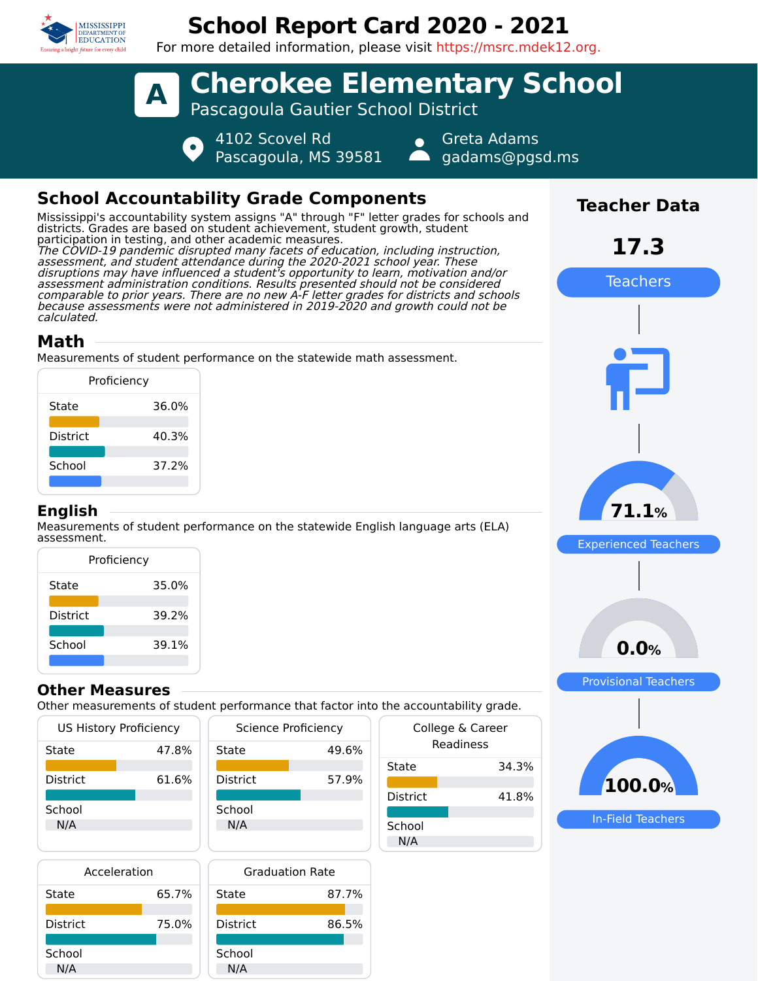

# **School Report Card 2020 - 2021**

For more detailed information, please visit https://msrc.mdek12.org.



## **School Accountability Grade Components**

Mississippi's accountability system assigns "A" through "F" letter grades for schools and districts. Grades are based on student achievement, student growth, student participation in testing, and other academic measures. The COVID-19 pandemic disrupted many facets of education, including instruction, assessment, and student attendance during the 2020-2021 school year. These disruptions may have influenced a student's opportunity to learn, motivation and/or assessment administration conditions. Results presented should not be considered comparable to prior years. There are no new A-F letter grades for districts and schools because assessments were not administered in 2019-2020 and growth could not be calculated.

## **Math**

Measurements of student performance on the statewide math assessment.

|                 | Proficiency |
|-----------------|-------------|
| State           | 36.0%       |
| <b>District</b> | 40.3%       |
| School          | 37.2%       |
|                 |             |

#### **English**

Measurements of student performance on the statewide English language arts (ELA) assessment.

| Proficiency     |       |  |  |  |
|-----------------|-------|--|--|--|
| State           | 35.0% |  |  |  |
| <b>District</b> | 39.2% |  |  |  |
| School          | 39.1% |  |  |  |
|                 |       |  |  |  |

#### **Other Measures**

Other measurements of student performance that factor into the accountability grade.

| <b>US History Proficiency</b> |       | <b>Science Proficiency</b> | Colleg |                 |  |
|-------------------------------|-------|----------------------------|--------|-----------------|--|
| State                         | 47.8% | State                      | 49.6%  | Rea             |  |
|                               |       |                            |        | State           |  |
| <b>District</b>               | 61.6% | <b>District</b>            | 57.9%  |                 |  |
|                               |       |                            |        | <b>District</b> |  |
| School                        |       | School                     |        |                 |  |
| N/A                           |       | N/A                        |        | School          |  |
|                               |       |                            |        | N/A             |  |
| $\sim$ $\sim$ $\sim$ $\sim$   |       | _ _ _ _ _                  |        |                 |  |

| Acceleration    |       |  |
|-----------------|-------|--|
| State           | 65.7% |  |
| <b>District</b> | 75.0% |  |
| School          |       |  |
| N/A             |       |  |



| uic accountability grauc.     |       |  |  |  |
|-------------------------------|-------|--|--|--|
| College & Career<br>Readiness |       |  |  |  |
| State                         | 34.3% |  |  |  |
| District                      | 41.8% |  |  |  |
| School<br>N/A                 |       |  |  |  |



Experienced Teachers

**71.1%**

**Teacher Data**

**17.3**

Teachers